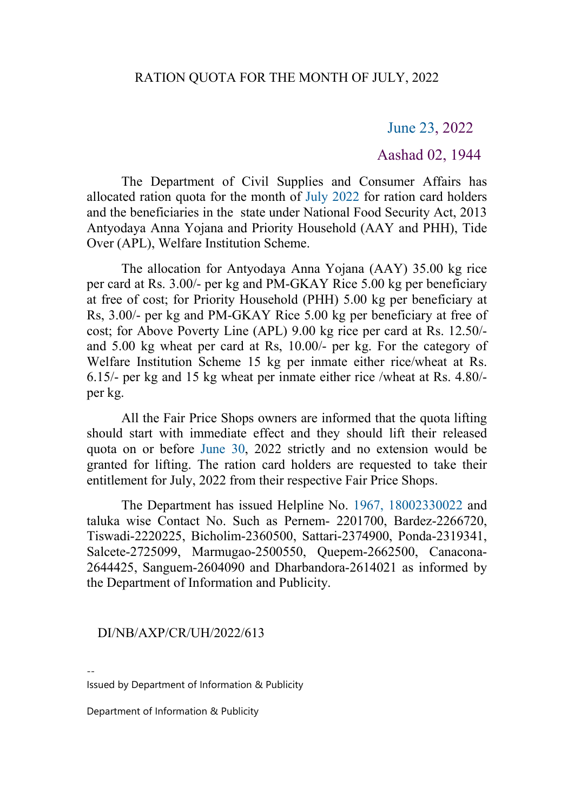## June 23, 2022

## Aashad 02, 1944

The Department of Civil Supplies and Consumer Affairs has allocated ration quota for the month of July 2022 for ration card holders and the beneficiaries in the state under National Food Security Act, 2013 Antyodaya Anna Yojana and Priority Household (AAY and PHH), Tide Over (APL), Welfare Institution Scheme.

The allocation for Antyodaya Anna Yojana (AAY) 35.00 kg rice per card at Rs. 3.00/- per kg and PM-GKAY Rice 5.00 kg per beneficiary at free of cost; for Priority Household (PHH) 5.00 kg per beneficiary at Rs, 3.00/- per kg and PM-GKAY Rice 5.00 kg per beneficiary at free of cost; for Above Poverty Line (APL) 9.00 kg rice per card at Rs. 12.50/ and 5.00 kg wheat per card at Rs, 10.00/- per kg. For the category of Welfare Institution Scheme 15 kg per inmate either rice/wheat at Rs. 6.15/- per kg and 15 kg wheat per inmate either rice /wheat at Rs. 4.80/ per kg.<br>All the Fair Price Shops owners are informed that the quota lifting

should start with immediate effect and they should lift their released quota on or before June 30, 2022 strictly and no extension would be granted for lifting. The ration card holders are requested to take their entitlement for July, 2022 from their respective Fair Price Shops.

The Department has issued Helpline No. 1967, [18002330022](https://email.gov.in/callto:1967, 18002330022) and taluka wise Contact No. Such as Pernem- 2201700, Bardez-2266720, Tiswadi-2220225, Bicholim-2360500, Sattari-2374900, Ponda-2319341, Salcete-2725099, Marmugao-2500550, Quepem-2662500, Canacona- 2644425, Sanguem-2604090 and Dharbandora-2614021 as informed by the Department of Information and Publicity.

## DI/NB/AXP/CR/UH/2022/613

Issued by Department of Information & Publicity

Department of Information & Publicity

--